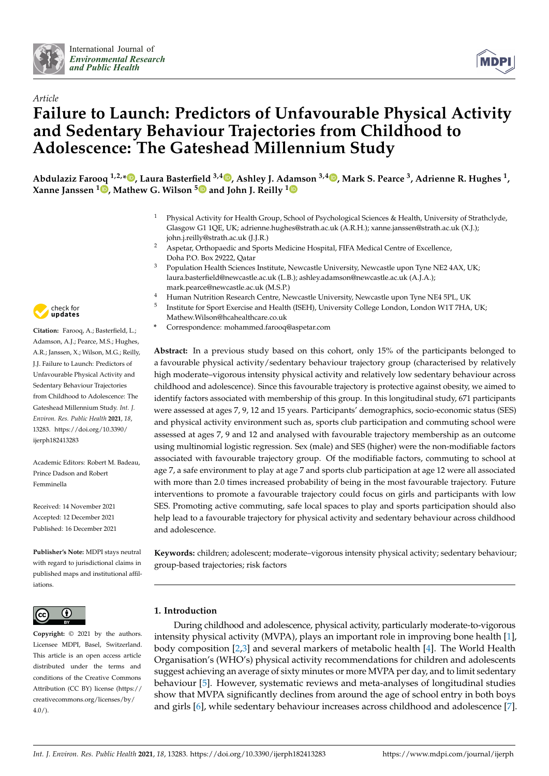



# *Article* **Failure to Launch: Predictors of Unfavourable Physical Activity and Sedentary Behaviour Trajectories from Childhood to Adolescence: The Gateshead Millennium Study**

**Abdulaziz Farooq 1,2,\* [,](https://orcid.org/0000-0002-9162-4948) Laura Basterfield 3,4 [,](https://orcid.org/0000-0003-3245-7622) Ashley J. Adamson 3,4 [,](https://orcid.org/0000-0003-3735-2846) Mark S. Pearce <sup>3</sup> , Adrienne R. Hughes <sup>1</sup> , Xanne Janssen <sup>1</sup> [,](https://orcid.org/0000-0003-1355-0792) Mathew G. Wilson [5](https://orcid.org/0000-0002-6317-0168) and John J. Reilly [1](https://orcid.org/0000-0001-6165-5471)**

- <sup>1</sup> Physical Activity for Health Group, School of Psychological Sciences & Health, University of Strathclyde, Glasgow G1 1QE, UK; adrienne.hughes@strath.ac.uk (A.R.H.); xanne.janssen@strath.ac.uk (X.J.); john.j.reilly@strath.ac.uk (J.J.R.)
- <sup>2</sup> Aspetar, Orthopaedic and Sports Medicine Hospital, FIFA Medical Centre of Excellence, Doha P.O. Box 29222, Qatar
- <sup>3</sup> Population Health Sciences Institute, Newcastle University, Newcastle upon Tyne NE2 4AX, UK; laura.basterfield@newcastle.ac.uk (L.B.); ashley.adamson@newcastle.ac.uk (A.J.A.); mark.pearce@newcastle.ac.uk (M.S.P.)
- <sup>4</sup> Human Nutrition Research Centre, Newcastle University, Newcastle upon Tyne NE4 5PL, UK
- 5 Institute for Sport Exercise and Health (ISEH), University College London, London W1T 7HA, UK; Mathew.Wilson@hcahealthcare.co.uk
- **\*** Correspondence: mohammed.farooq@aspetar.com

**Abstract:** In a previous study based on this cohort, only 15% of the participants belonged to a favourable physical activity/sedentary behaviour trajectory group (characterised by relatively high moderate–vigorous intensity physical activity and relatively low sedentary behaviour across childhood and adolescence). Since this favourable trajectory is protective against obesity, we aimed to identify factors associated with membership of this group. In this longitudinal study, 671 participants were assessed at ages 7, 9, 12 and 15 years. Participants' demographics, socio-economic status (SES) and physical activity environment such as, sports club participation and commuting school were assessed at ages 7, 9 and 12 and analysed with favourable trajectory membership as an outcome using multinomial logistic regression. Sex (male) and SES (higher) were the non-modifiable factors associated with favourable trajectory group. Of the modifiable factors, commuting to school at age 7, a safe environment to play at age 7 and sports club participation at age 12 were all associated with more than 2.0 times increased probability of being in the most favourable trajectory. Future interventions to promote a favourable trajectory could focus on girls and participants with low SES. Promoting active commuting, safe local spaces to play and sports participation should also help lead to a favourable trajectory for physical activity and sedentary behaviour across childhood and adolescence.

**Keywords:** children; adolescent; moderate–vigorous intensity physical activity; sedentary behaviour; group-based trajectories; risk factors

## **1. Introduction**

During childhood and adolescence, physical activity, particularly moderate-to-vigorous intensity physical activity (MVPA), plays an important role in improving bone health [\[1\]](#page-10-0), body composition [\[2](#page-10-1)[,3\]](#page-10-2) and several markers of metabolic health [\[4\]](#page-10-3). The World Health Organisation's (WHO's) physical activity recommendations for children and adolescents suggest achieving an average of sixty minutes or more MVPA per day, and to limit sedentary behaviour [\[5\]](#page-10-4). However, systematic reviews and meta-analyses of longitudinal studies show that MVPA significantly declines from around the age of school entry in both boys and girls [\[6\]](#page-10-5), while sedentary behaviour increases across childhood and adolescence [\[7\]](#page-10-6).



**Citation:** Farooq, A.; Basterfield, L.; Adamson, A.J.; Pearce, M.S.; Hughes, A.R.; Janssen, X.; Wilson, M.G.; Reilly, J.J. Failure to Launch: Predictors of Unfavourable Physical Activity and Sedentary Behaviour Trajectories from Childhood to Adolescence: The Gateshead Millennium Study. *Int. J. Environ. Res. Public Health* **2021**, *18*, 13283. [https://doi.org/10.3390/](https://doi.org/10.3390/ijerph182413283) [ijerph182413283](https://doi.org/10.3390/ijerph182413283)

Academic Editors: Robert M. Badeau, Prince Dadson and Robert Femminella

Received: 14 November 2021 Accepted: 12 December 2021 Published: 16 December 2021

**Publisher's Note:** MDPI stays neutral with regard to jurisdictional claims in published maps and institutional affiliations.



**Copyright:** © 2021 by the authors. Licensee MDPI, Basel, Switzerland. This article is an open access article distributed under the terms and conditions of the Creative Commons Attribution (CC BY) license (https:/[/](https://creativecommons.org/licenses/by/4.0/) [creativecommons.org/licenses/by/](https://creativecommons.org/licenses/by/4.0/) 4.0/).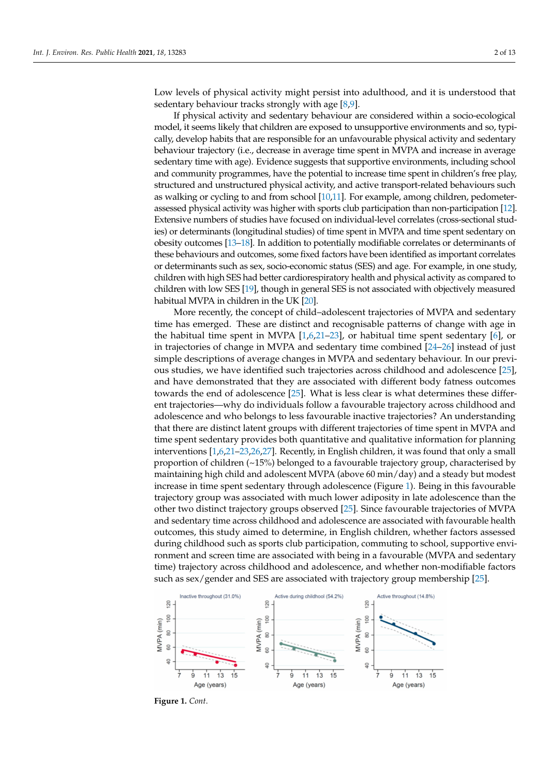Low levels of physical activity might persist into adulthood, and it is understood that sedentary behaviour tracks strongly with age [\[8,](#page-10-7)[9\]](#page-10-8).

If physical activity and sedentary behaviour are considered within a socio-ecological model, it seems likely that children are exposed to unsupportive environments and so, typically, develop habits that are responsible for an unfavourable physical activity and sedentary behaviour trajectory (i.e., decrease in average time spent in MVPA and increase in average sedentary time with age). Evidence suggests that supportive environments, including school and community programmes, have the potential to increase time spent in children's free play, structured and unstructured physical activity, and active transport-related behaviours such as walking or cycling to and from school [\[10,](#page-10-9)[11\]](#page-10-10). For example, among children, pedometerassessed physical activity was higher with sports club participation than non-participation [\[12\]](#page-10-11). Extensive numbers of studies have focused on individual-level correlates (cross-sectional studies) or determinants (longitudinal studies) of time spent in MVPA and time spent sedentary on obesity outcomes [\[13–](#page-10-12)[18\]](#page-10-13). In addition to potentially modifiable correlates or determinants of these behaviours and outcomes, some fixed factors have been identified as important correlates or determinants such as sex, socio-economic status (SES) and age. For example, in one study, children with high SES had better cardiorespiratory health and physical activity as compared to children with low SES [\[19\]](#page-10-14), though in general SES is not associated with objectively measured habitual MVPA in children in the UK [\[20\]](#page-11-0).

More recently, the concept of child–adolescent trajectories of MVPA and sedentary time has emerged. These are distinct and recognisable patterns of change with age in the habitual time spent in MVPA [\[1,](#page-10-0)[6,](#page-10-5)[21–](#page-11-1)[23\]](#page-11-2), or habitual time spent sedentary [\[6\]](#page-10-5), or in trajectories of change in MVPA and sedentary time combined [\[24](#page-11-3)[–26\]](#page-11-4) instead of just simple descriptions of average changes in MVPA and sedentary behaviour. In our previous studies, we have identified such trajectories across childhood and adolescence [\[25\]](#page-11-5), and have demonstrated that they are associated with different body fatness outcomes towards the end of adolescence [\[25\]](#page-11-5). What is less clear is what determines these different trajectories—why do individuals follow a favourable trajectory across childhood and adolescence and who belongs to less favourable inactive trajectories? An understanding that there are distinct latent groups with different trajectories of time spent in MVPA and time spent sedentary provides both quantitative and qualitative information for planning interventions [\[1,](#page-10-0)[6,](#page-10-5)[21–](#page-11-1)[23](#page-11-2)[,26,](#page-11-4)[27\]](#page-11-6). Recently, in English children, it was found that only a small proportion of children (~15%) belonged to a favourable trajectory group, characterised by maintaining high child and adolescent MVPA (above 60 min/day) and a steady but modest increase in time spent sedentary through adolescence (Figure [1\)](#page-2-0). Being in this favourable trajectory group was associated with much lower adiposity in late adolescence than the other two distinct trajectory groups observed [\[25\]](#page-11-5). Since favourable trajectories of MVPA and sedentary time across childhood and adolescence are associated with favourable health outcomes, this study aimed to determine, in English children, whether factors assessed during childhood such as sports club participation, commuting to school, supportive environment and screen time are associated with being in a favourable (MVPA and sedentary time) trajectory across childhood and adolescence, and whether non-modifiable factors such as sex/gender and SES are associated with trajectory group membership [\[25\]](#page-11-5).



**Figure 1.** *Cont*.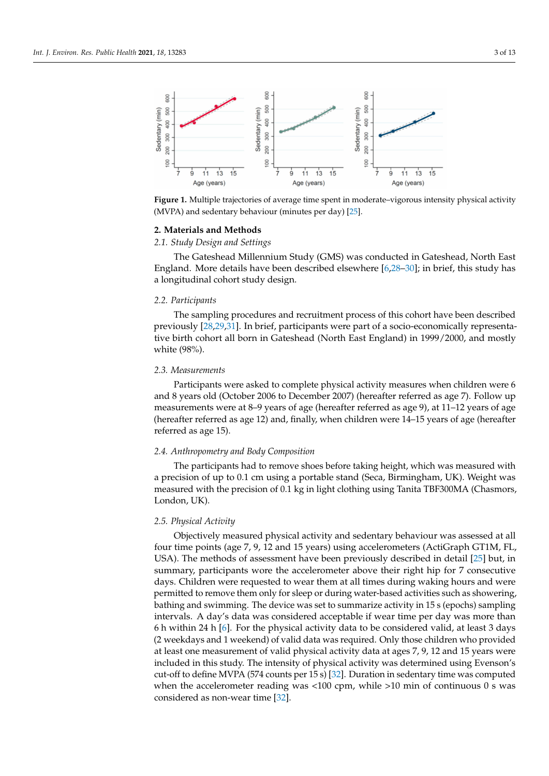<span id="page-2-0"></span>

Figure 1. Multiple trajectories of average time spent in moderate–vigorous intensity physical activity (MVPA) and sedentary behaviour (minutes per day) [\[25\]](#page-11-5).

#### **2. Materials and Methods**

*2.1. Study Design and Settings*

The Gateshead Millennium Study (GMS) was conducted in Gateshead, North East England. More details have been described elsewhere [\[6](#page-10-5)[,28](#page-11-7)[–30\]](#page-11-8); in brief, this study has a longitudinal cohort study design.

#### *2.2. Participants*

The sampling procedures and recruitment process of this cohort have been described previously [\[28](#page-11-7)[,29](#page-11-9)[,31\]](#page-11-10). In brief, participants were part of a socio-economically representative birth cohort all born in Gateshead (North East England) in 1999/2000, and mostly white (98%).

## *2.3. Measurements*

Participants were asked to complete physical activity measures when children were 6 and 8 years old (October 2006 to December 2007) (hereafter referred as age 7). Follow up measurements were at 8–9 years of age (hereafter referred as age 9), at 11–12 years of age (hereafter referred as age 12) and, finally, when children were 14–15 years of age (hereafter referred as age 15).

### *2.4. Anthropometry and Body Composition*

The participants had to remove shoes before taking height, which was measured with a precision of up to 0.1 cm using a portable stand (Seca, Birmingham, UK). Weight was measured with the precision of 0.1 kg in light clothing using Tanita TBF300MA (Chasmors, London, UK).

#### *2.5. Physical Activity*

Objectively measured physical activity and sedentary behaviour was assessed at all four time points (age 7, 9, 12 and 15 years) using accelerometers (ActiGraph GT1M, FL, USA). The methods of assessment have been previously described in detail [\[25\]](#page-11-5) but, in summary, participants wore the accelerometer above their right hip for 7 consecutive days. Children were requested to wear them at all times during waking hours and were permitted to remove them only for sleep or during water-based activities such as showering, bathing and swimming. The device was set to summarize activity in 15 s (epochs) sampling intervals. A day's data was considered acceptable if wear time per day was more than 6 h within 24 h [\[6\]](#page-10-5). For the physical activity data to be considered valid, at least 3 days (2 weekdays and 1 weekend) of valid data was required. Only those children who provided at least one measurement of valid physical activity data at ages 7, 9, 12 and 15 years were included in this study. The intensity of physical activity was determined using Evenson's cut-off to define MVPA (574 counts per 15 s) [\[32\]](#page-11-11). Duration in sedentary time was computed when the accelerometer reading was  $<100$  cpm, while  $>10$  min of continuous 0 s was considered as non-wear time [\[32\]](#page-11-11).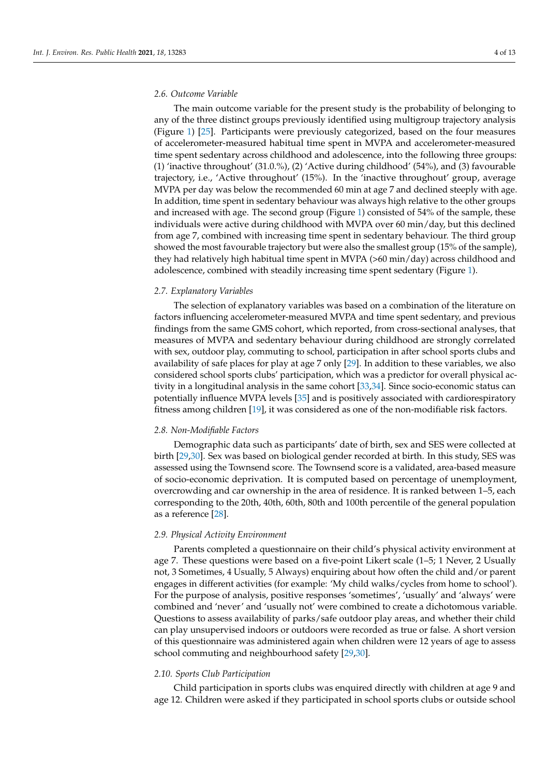#### *2.6. Outcome Variable*

The main outcome variable for the present study is the probability of belonging to any of the three distinct groups previously identified using multigroup trajectory analysis (Figure [1\)](#page-2-0) [\[25\]](#page-11-5). Participants were previously categorized, based on the four measures of accelerometer-measured habitual time spent in MVPA and accelerometer-measured time spent sedentary across childhood and adolescence, into the following three groups: (1) 'inactive throughout' (31.0.%), (2) 'Active during childhood' (54%), and (3) favourable trajectory, i.e., 'Active throughout' (15%). In the 'inactive throughout' group, average MVPA per day was below the recommended 60 min at age 7 and declined steeply with age. In addition, time spent in sedentary behaviour was always high relative to the other groups and increased with age. The second group (Figure [1\)](#page-2-0) consisted of 54% of the sample, these individuals were active during childhood with MVPA over 60 min/day, but this declined from age 7, combined with increasing time spent in sedentary behaviour. The third group showed the most favourable trajectory but were also the smallest group (15% of the sample), they had relatively high habitual time spent in MVPA (>60 min/day) across childhood and adolescence, combined with steadily increasing time spent sedentary (Figure [1\)](#page-2-0).

#### *2.7. Explanatory Variables*

The selection of explanatory variables was based on a combination of the literature on factors influencing accelerometer-measured MVPA and time spent sedentary, and previous findings from the same GMS cohort, which reported, from cross-sectional analyses, that measures of MVPA and sedentary behaviour during childhood are strongly correlated with sex, outdoor play, commuting to school, participation in after school sports clubs and availability of safe places for play at age 7 only [\[29\]](#page-11-9). In addition to these variables, we also considered school sports clubs' participation, which was a predictor for overall physical activity in a longitudinal analysis in the same cohort [\[33,](#page-11-12)[34\]](#page-11-13). Since socio-economic status can potentially influence MVPA levels [\[35\]](#page-11-14) and is positively associated with cardiorespiratory fitness among children [\[19\]](#page-10-14), it was considered as one of the non-modifiable risk factors.

## *2.8. Non-Modifiable Factors*

Demographic data such as participants' date of birth, sex and SES were collected at birth [\[29](#page-11-9)[,30\]](#page-11-8). Sex was based on biological gender recorded at birth. In this study, SES was assessed using the Townsend score. The Townsend score is a validated, area-based measure of socio-economic deprivation. It is computed based on percentage of unemployment, overcrowding and car ownership in the area of residence. It is ranked between 1–5, each corresponding to the 20th, 40th, 60th, 80th and 100th percentile of the general population as a reference [\[28\]](#page-11-7).

#### *2.9. Physical Activity Environment*

Parents completed a questionnaire on their child's physical activity environment at age 7. These questions were based on a five-point Likert scale (1–5; 1 Never, 2 Usually not, 3 Sometimes, 4 Usually, 5 Always) enquiring about how often the child and/or parent engages in different activities (for example: 'My child walks/cycles from home to school'). For the purpose of analysis, positive responses 'sometimes', 'usually' and 'always' were combined and 'never' and 'usually not' were combined to create a dichotomous variable. Questions to assess availability of parks/safe outdoor play areas, and whether their child can play unsupervised indoors or outdoors were recorded as true or false. A short version of this questionnaire was administered again when children were 12 years of age to assess school commuting and neighbourhood safety [\[29](#page-11-9)[,30\]](#page-11-8).

## *2.10. Sports Club Participation*

Child participation in sports clubs was enquired directly with children at age 9 and age 12. Children were asked if they participated in school sports clubs or outside school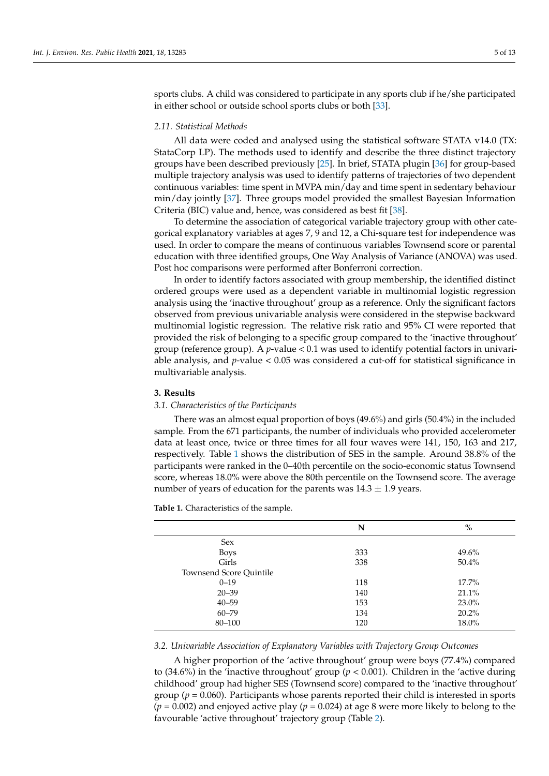sports clubs. A child was considered to participate in any sports club if he/she participated in either school or outside school sports clubs or both [\[33\]](#page-11-12).

## *2.11. Statistical Methods*

All data were coded and analysed using the statistical software STATA v14.0 (TX: StataCorp LP). The methods used to identify and describe the three distinct trajectory groups have been described previously [\[25\]](#page-11-5). In brief, STATA plugin [\[36\]](#page-11-15) for group-based multiple trajectory analysis was used to identify patterns of trajectories of two dependent continuous variables: time spent in MVPA min/day and time spent in sedentary behaviour min/day jointly [\[37\]](#page-11-16). Three groups model provided the smallest Bayesian Information Criteria (BIC) value and, hence, was considered as best fit [\[38\]](#page-11-17).

To determine the association of categorical variable trajectory group with other categorical explanatory variables at ages 7, 9 and 12, a Chi-square test for independence was used. In order to compare the means of continuous variables Townsend score or parental education with three identified groups, One Way Analysis of Variance (ANOVA) was used. Post hoc comparisons were performed after Bonferroni correction.

In order to identify factors associated with group membership, the identified distinct ordered groups were used as a dependent variable in multinomial logistic regression analysis using the 'inactive throughout' group as a reference. Only the significant factors observed from previous univariable analysis were considered in the stepwise backward multinomial logistic regression. The relative risk ratio and 95% CI were reported that provided the risk of belonging to a specific group compared to the 'inactive throughout' group (reference group). A *p*-value < 0.1 was used to identify potential factors in univariable analysis, and *p*-value < 0.05 was considered a cut-off for statistical significance in multivariable analysis.

## **3. Results**

#### *3.1. Characteristics of the Participants*

There was an almost equal proportion of boys (49.6%) and girls (50.4%) in the included sample. From the 671 participants, the number of individuals who provided accelerometer data at least once, twice or three times for all four waves were 141, 150, 163 and 217, respectively. Table [1](#page-4-0) shows the distribution of SES in the sample. Around 38.8% of the participants were ranked in the 0–40th percentile on the socio-economic status Townsend score, whereas 18.0% were above the 80th percentile on the Townsend score. The average number of years of education for the parents was  $14.3 \pm 1.9$  years.

|                                | N   | $\%$     |
|--------------------------------|-----|----------|
| <b>Sex</b>                     |     |          |
| <b>Boys</b>                    | 333 | 49.6%    |
| Girls                          | 338 | 50.4%    |
| <b>Townsend Score Quintile</b> |     |          |
| $0 - 19$                       | 118 | $17.7\%$ |
| $20 - 39$                      | 140 | 21.1%    |
| $40 - 59$                      | 153 | 23.0%    |
| $60 - 79$                      | 134 | 20.2%    |
| 80-100                         | 120 | 18.0%    |
|                                |     |          |

<span id="page-4-0"></span>**Table 1.** Characteristics of the sample.

#### *3.2. Univariable Association of Explanatory Variables with Trajectory Group Outcomes*

A higher proportion of the 'active throughout' group were boys (77.4%) compared to (34.6%) in the 'inactive throughout' group ( $p < 0.001$ ). Children in the 'active during childhood' group had higher SES (Townsend score) compared to the 'inactive throughout' group ( $p = 0.060$ ). Participants whose parents reported their child is interested in sports  $(p = 0.002)$  and enjoyed active play  $(p = 0.024)$  at age 8 were more likely to belong to the favourable 'active throughout' trajectory group (Table [2\)](#page-5-0).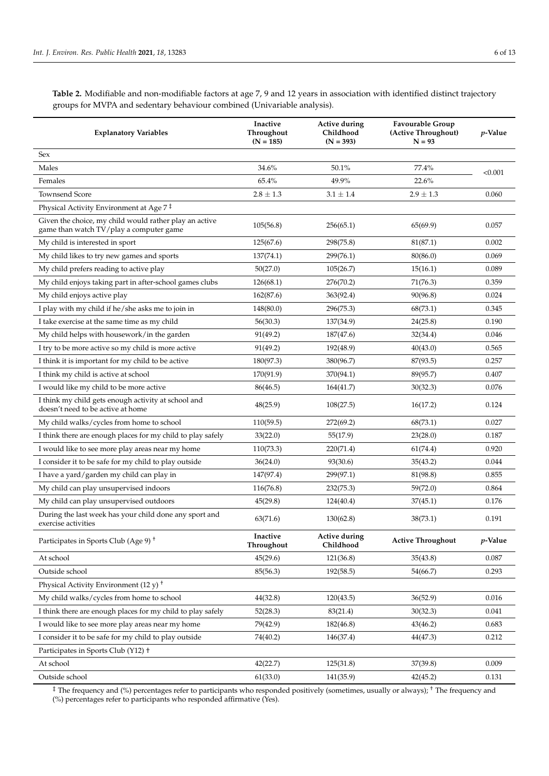<span id="page-5-0"></span>**Table 2.** Modifiable and non-modifiable factors at age 7, 9 and 12 years in association with identified distinct trajectory groups for MVPA and sedentary behaviour combined (Univariable analysis).

| <b>Explanatory Variables</b>                                                                      | Inactive<br>Throughout<br>$(N = 185)$ | Active during<br>Childhood<br>$(N = 393)$ | <b>Favourable Group</b><br>(Active Throughout)<br>$N = 93$ | $p$ -Value |
|---------------------------------------------------------------------------------------------------|---------------------------------------|-------------------------------------------|------------------------------------------------------------|------------|
| Sex                                                                                               |                                       |                                           |                                                            |            |
| Males                                                                                             | 34.6%                                 | 50.1%                                     | 77.4%                                                      | < 0.001    |
| Females                                                                                           | 65.4%                                 | 49.9%                                     | 22.6%                                                      |            |
| <b>Townsend Score</b>                                                                             | $2.8 \pm 1.3$                         | $3.1 \pm 1.4$                             | $2.9 \pm 1.3$                                              | 0.060      |
| Physical Activity Environment at Age 7 <sup>‡</sup>                                               |                                       |                                           |                                                            |            |
| Given the choice, my child would rather play an active<br>game than watch TV/play a computer game | 105(56.8)                             | 256(65.1)                                 | 65(69.9)                                                   | 0.057      |
| My child is interested in sport                                                                   | 125(67.6)                             | 298(75.8)                                 | 81(87.1)                                                   | 0.002      |
| My child likes to try new games and sports                                                        | 137(74.1)                             | 299(76.1)                                 | 80(86.0)                                                   | 0.069      |
| My child prefers reading to active play                                                           | 50(27.0)                              | 105(26.7)                                 | 15(16.1)                                                   | 0.089      |
| My child enjoys taking part in after-school games clubs                                           | 126(68.1)                             | 276(70.2)                                 | 71(76.3)                                                   | 0.359      |
| My child enjoys active play                                                                       | 162(87.6)                             | 363(92.4)                                 | 90(96.8)                                                   | 0.024      |
| I play with my child if he/she asks me to join in                                                 | 148(80.0)                             | 296(75.3)                                 | 68(73.1)                                                   | 0.345      |
| I take exercise at the same time as my child                                                      | 56(30.3)                              | 137(34.9)                                 | 24(25.8)                                                   | 0.190      |
| My child helps with housework/in the garden                                                       | 91(49.2)                              | 187(47.6)                                 | 32(34.4)                                                   | 0.046      |
| I try to be more active so my child is more active                                                | 91(49.2)                              | 192(48.9)                                 | 40(43.0)                                                   | 0.565      |
| I think it is important for my child to be active                                                 | 180(97.3)                             | 380(96.7)                                 | 87(93.5)                                                   | 0.257      |
| I think my child is active at school                                                              | 170(91.9)                             | 370(94.1)                                 | 89(95.7)                                                   | 0.407      |
| I would like my child to be more active                                                           | 86(46.5)                              | 164(41.7)                                 | 30(32.3)                                                   | 0.076      |
| I think my child gets enough activity at school and<br>doesn't need to be active at home          | 48(25.9)                              | 108(27.5)                                 | 16(17.2)                                                   | 0.124      |
| My child walks/cycles from home to school                                                         | 110(59.5)                             | 272(69.2)                                 | 68(73.1)                                                   | 0.027      |
| I think there are enough places for my child to play safely                                       | 33(22.0)                              | 55(17.9)                                  | 23(28.0)                                                   | 0.187      |
| I would like to see more play areas near my home                                                  | 110(73.3)                             | 220(71.4)                                 | 61(74.4)                                                   | 0.920      |
| I consider it to be safe for my child to play outside                                             | 36(24.0)                              | 93(30.6)                                  | 35(43.2)                                                   | 0.044      |
| I have a yard/garden my child can play in                                                         | 147(97.4)                             | 299(97.1)                                 | 81(98.8)                                                   | 0.855      |
| My child can play unsupervised indoors                                                            | 116(76.8)                             | 232(75.3)                                 | 59(72.0)                                                   | 0.864      |
| My child can play unsupervised outdoors                                                           | 45(29.8)                              | 124(40.4)                                 | 37(45.1)                                                   | 0.176      |
| During the last week has your child done any sport and<br>exercise activities                     | 63(71.6)                              | 130(62.8)                                 | 38(73.1)                                                   | 0.191      |
| Participates in Sports Club (Age 9) <sup>+</sup>                                                  | Inactive<br>Throughout                | <b>Active during</b><br>Childhood         | <b>Active Throughout</b>                                   | p-Value    |
| At school                                                                                         | 45(29.6)                              | 121(36.8)                                 | 35(43.8)                                                   | 0.087      |
| Outside school                                                                                    | 85(56.3)                              | 192(58.5)                                 | 54(66.7)                                                   | 0.293      |
| Physical Activity Environment (12 y) <sup>+</sup>                                                 |                                       |                                           |                                                            |            |
| My child walks/cycles from home to school                                                         | 44(32.8)                              | 120(43.5)                                 | 36(52.9)                                                   | 0.016      |
| I think there are enough places for my child to play safely                                       | 52(28.3)                              | 83(21.4)                                  | 30(32.3)                                                   | 0.041      |
| I would like to see more play areas near my home                                                  | 79(42.9)                              | 182(46.8)                                 | 43(46.2)                                                   | 0.683      |
| I consider it to be safe for my child to play outside                                             | 74(40.2)                              | 146(37.4)                                 | 44(47.3)                                                   | 0.212      |
| Participates in Sports Club (Y12) +                                                               |                                       |                                           |                                                            |            |
| At school                                                                                         | 42(22.7)                              | 125(31.8)                                 | 37(39.8)                                                   | 0.009      |
| Outside school                                                                                    | 61(33.0)                              | 141(35.9)                                 | 42(45.2)                                                   | 0.131      |

 $^\ddag$  The frequency and (%) percentages refer to participants who responded positively (sometimes, usually or always);  $^\dag$  The frequency and (%) percentages refer to participants who responded affirmative (Yes).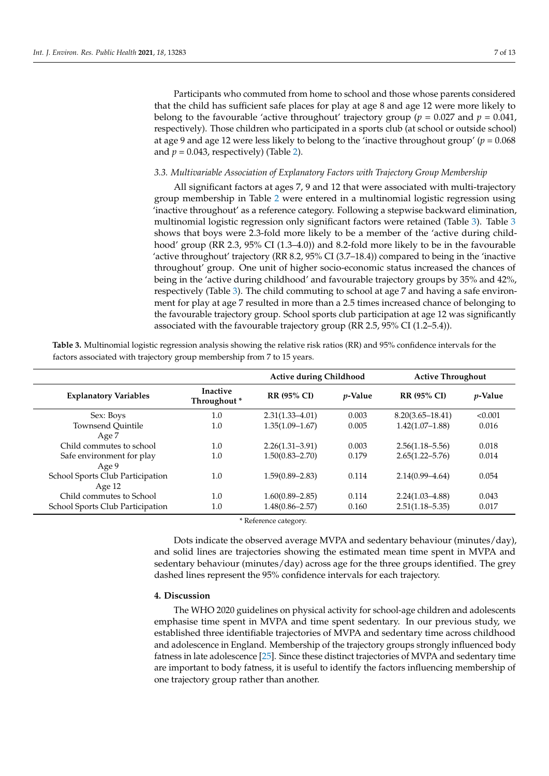Participants who commuted from home to school and those whose parents considered that the child has sufficient safe places for play at age 8 and age 12 were more likely to belong to the favourable 'active throughout' trajectory group ( $p = 0.027$  and  $p = 0.041$ , respectively). Those children who participated in a sports club (at school or outside school) at age 9 and age 12 were less likely to belong to the 'inactive throughout group' (*p* = 0.068 and  $p = 0.043$ , respectively) (Table [2\)](#page-5-0).

### *3.3. Multivariable Association of Explanatory Factors with Trajectory Group Membership*

All significant factors at ages 7, 9 and 12 that were associated with multi-trajectory group membership in Table [2](#page-5-0) were entered in a multinomial logistic regression using 'inactive throughout' as a reference category. Following a stepwise backward elimination, multinomial logistic regression only significant factors were retained (Table [3\)](#page-6-0). Table [3](#page-6-0) shows that boys were 2.3-fold more likely to be a member of the 'active during childhood' group (RR 2.3, 95% CI (1.3–4.0)) and 8.2-fold more likely to be in the favourable 'active throughout' trajectory (RR 8.2, 95% CI (3.7–18.4)) compared to being in the 'inactive throughout' group. One unit of higher socio-economic status increased the chances of being in the 'active during childhood' and favourable trajectory groups by 35% and 42%, respectively (Table [3\)](#page-6-0). The child commuting to school at age 7 and having a safe environment for play at age 7 resulted in more than a 2.5 times increased chance of belonging to the favourable trajectory group. School sports club participation at age 12 was significantly associated with the favourable trajectory group (RR 2.5, 95% CI (1.2–5.4)).

| <b>Explanatory Variables</b>     | <b>Inactive</b><br>Throughout* | <b>Active during Childhood</b> |                 | <b>Active Throughout</b> |                 |
|----------------------------------|--------------------------------|--------------------------------|-----------------|--------------------------|-----------------|
|                                  |                                | <b>RR (95% CI)</b>             | <i>v</i> -Value | <b>RR (95% CI)</b>       | <i>p</i> -Value |
| Sex: Boys                        | 1.0                            | $2.31(1.33 - 4.01)$            | 0.003           | $8.20(3.65 - 18.41)$     | < 0.001         |
| <b>Townsend Ouintile</b>         | 1.0                            | $1.35(1.09 - 1.67)$            | 0.005           | $1.42(1.07-1.88)$        | 0.016           |
| Age 7                            |                                |                                |                 |                          |                 |
| Child commutes to school         | 1.0                            | $2.26(1.31 - 3.91)$            | 0.003           | $2.56(1.18 - 5.56)$      | 0.018           |
| Safe environment for play        | 1.0                            | $1.50(0.83 - 2.70)$            | 0.179           | $2.65(1.22 - 5.76)$      | 0.014           |
| Age 9                            |                                |                                |                 |                          |                 |
| School Sports Club Participation | 1.0                            | $1.59(0.89 - 2.83)$            | 0.114           | $2.14(0.99 - 4.64)$      | 0.054           |
| Age $12$                         |                                |                                |                 |                          |                 |
| Child commutes to School         | 1.0                            | $1.60(0.89 - 2.85)$            | 0.114           | $2.24(1.03 - 4.88)$      | 0.043           |
| School Sports Club Participation | 1.0                            | $1.48(0.86 - 2.57)$            | 0.160           | $2.51(1.18 - 5.35)$      | 0.017           |

<span id="page-6-0"></span>**Table 3.** Multinomial logistic regression analysis showing the relative risk ratios (RR) and 95% confidence intervals for the factors associated with trajectory group membership from 7 to 15 years.

\* Reference category.

Dots indicate the observed average MVPA and sedentary behaviour (minutes/day), and solid lines are trajectories showing the estimated mean time spent in MVPA and sedentary behaviour (minutes/day) across age for the three groups identified. The grey dashed lines represent the 95% confidence intervals for each trajectory.

#### **4. Discussion**

The WHO 2020 guidelines on physical activity for school-age children and adolescents emphasise time spent in MVPA and time spent sedentary. In our previous study, we established three identifiable trajectories of MVPA and sedentary time across childhood and adolescence in England. Membership of the trajectory groups strongly influenced body fatness in late adolescence [\[25\]](#page-11-5). Since these distinct trajectories of MVPA and sedentary time are important to body fatness, it is useful to identify the factors influencing membership of one trajectory group rather than another.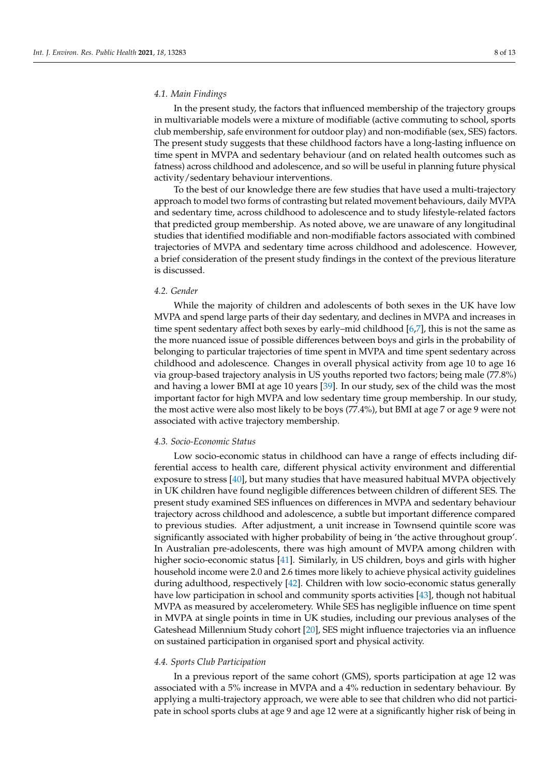#### *4.1. Main Findings*

In the present study, the factors that influenced membership of the trajectory groups in multivariable models were a mixture of modifiable (active commuting to school, sports club membership, safe environment for outdoor play) and non-modifiable (sex, SES) factors. The present study suggests that these childhood factors have a long-lasting influence on time spent in MVPA and sedentary behaviour (and on related health outcomes such as fatness) across childhood and adolescence, and so will be useful in planning future physical activity/sedentary behaviour interventions.

To the best of our knowledge there are few studies that have used a multi-trajectory approach to model two forms of contrasting but related movement behaviours, daily MVPA and sedentary time, across childhood to adolescence and to study lifestyle-related factors that predicted group membership. As noted above, we are unaware of any longitudinal studies that identified modifiable and non-modifiable factors associated with combined trajectories of MVPA and sedentary time across childhood and adolescence. However, a brief consideration of the present study findings in the context of the previous literature is discussed.

#### *4.2. Gender*

While the majority of children and adolescents of both sexes in the UK have low MVPA and spend large parts of their day sedentary, and declines in MVPA and increases in time spent sedentary affect both sexes by early–mid childhood [\[6](#page-10-5)[,7\]](#page-10-6), this is not the same as the more nuanced issue of possible differences between boys and girls in the probability of belonging to particular trajectories of time spent in MVPA and time spent sedentary across childhood and adolescence. Changes in overall physical activity from age 10 to age 16 via group-based trajectory analysis in US youths reported two factors; being male (77.8%) and having a lower BMI at age 10 years [\[39\]](#page-11-18). In our study, sex of the child was the most important factor for high MVPA and low sedentary time group membership. In our study, the most active were also most likely to be boys (77.4%), but BMI at age 7 or age 9 were not associated with active trajectory membership.

#### *4.3. Socio-Economic Status*

Low socio-economic status in childhood can have a range of effects including differential access to health care, different physical activity environment and differential exposure to stress [\[40\]](#page-11-19), but many studies that have measured habitual MVPA objectively in UK children have found negligible differences between children of different SES. The present study examined SES influences on differences in MVPA and sedentary behaviour trajectory across childhood and adolescence, a subtle but important difference compared to previous studies. After adjustment, a unit increase in Townsend quintile score was significantly associated with higher probability of being in 'the active throughout group'. In Australian pre-adolescents, there was high amount of MVPA among children with higher socio-economic status [\[41\]](#page-11-20). Similarly, in US children, boys and girls with higher household income were 2.0 and 2.6 times more likely to achieve physical activity guidelines during adulthood, respectively [\[42\]](#page-11-21). Children with low socio-economic status generally have low participation in school and community sports activities [\[43\]](#page-11-22), though not habitual MVPA as measured by accelerometery. While SES has negligible influence on time spent in MVPA at single points in time in UK studies, including our previous analyses of the Gateshead Millennium Study cohort [\[20\]](#page-11-0), SES might influence trajectories via an influence on sustained participation in organised sport and physical activity.

## *4.4. Sports Club Participation*

In a previous report of the same cohort (GMS), sports participation at age 12 was associated with a 5% increase in MVPA and a 4% reduction in sedentary behaviour. By applying a multi-trajectory approach, we were able to see that children who did not participate in school sports clubs at age 9 and age 12 were at a significantly higher risk of being in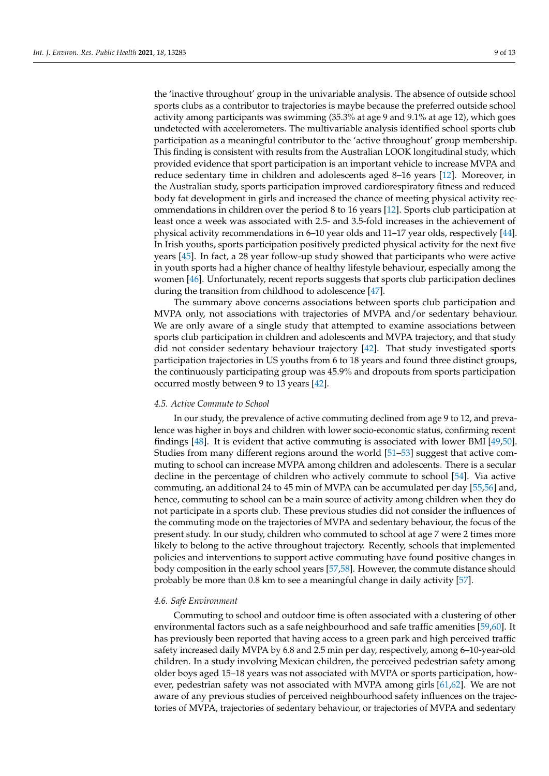the 'inactive throughout' group in the univariable analysis. The absence of outside school sports clubs as a contributor to trajectories is maybe because the preferred outside school activity among participants was swimming (35.3% at age 9 and 9.1% at age 12), which goes undetected with accelerometers. The multivariable analysis identified school sports club participation as a meaningful contributor to the 'active throughout' group membership. This finding is consistent with results from the Australian LOOK longitudinal study, which provided evidence that sport participation is an important vehicle to increase MVPA and reduce sedentary time in children and adolescents aged 8–16 years [\[12\]](#page-10-11). Moreover, in the Australian study, sports participation improved cardiorespiratory fitness and reduced body fat development in girls and increased the chance of meeting physical activity recommendations in children over the period 8 to 16 years [\[12\]](#page-10-11). Sports club participation at least once a week was associated with 2.5- and 3.5-fold increases in the achievement of physical activity recommendations in 6–10 year olds and 11–17 year olds, respectively [\[44\]](#page-11-23). In Irish youths, sports participation positively predicted physical activity for the next five years [\[45\]](#page-12-0). In fact, a 28 year follow-up study showed that participants who were active in youth sports had a higher chance of healthy lifestyle behaviour, especially among the women [\[46\]](#page-12-1). Unfortunately, recent reports suggests that sports club participation declines during the transition from childhood to adolescence [\[47\]](#page-12-2).

The summary above concerns associations between sports club participation and MVPA only, not associations with trajectories of MVPA and/or sedentary behaviour. We are only aware of a single study that attempted to examine associations between sports club participation in children and adolescents and MVPA trajectory, and that study did not consider sedentary behaviour trajectory [\[42\]](#page-11-21). That study investigated sports participation trajectories in US youths from 6 to 18 years and found three distinct groups, the continuously participating group was 45.9% and dropouts from sports participation occurred mostly between 9 to 13 years [\[42\]](#page-11-21).

#### *4.5. Active Commute to School*

In our study, the prevalence of active commuting declined from age 9 to 12, and prevalence was higher in boys and children with lower socio-economic status, confirming recent findings [\[48\]](#page-12-3). It is evident that active commuting is associated with lower BMI [\[49,](#page-12-4)[50\]](#page-12-5). Studies from many different regions around the world [\[51](#page-12-6)[–53\]](#page-12-7) suggest that active commuting to school can increase MVPA among children and adolescents. There is a secular decline in the percentage of children who actively commute to school [\[54\]](#page-12-8). Via active commuting, an additional 24 to 45 min of MVPA can be accumulated per day [\[55](#page-12-9)[,56\]](#page-12-10) and, hence, commuting to school can be a main source of activity among children when they do not participate in a sports club. These previous studies did not consider the influences of the commuting mode on the trajectories of MVPA and sedentary behaviour, the focus of the present study. In our study, children who commuted to school at age 7 were 2 times more likely to belong to the active throughout trajectory. Recently, schools that implemented policies and interventions to support active commuting have found positive changes in body composition in the early school years [\[57](#page-12-11)[,58\]](#page-12-12). However, the commute distance should probably be more than 0.8 km to see a meaningful change in daily activity [\[57\]](#page-12-11).

#### *4.6. Safe Environment*

Commuting to school and outdoor time is often associated with a clustering of other environmental factors such as a safe neighbourhood and safe traffic amenities [\[59,](#page-12-13)[60\]](#page-12-14). It has previously been reported that having access to a green park and high perceived traffic safety increased daily MVPA by 6.8 and 2.5 min per day, respectively, among 6–10-year-old children. In a study involving Mexican children, the perceived pedestrian safety among older boys aged 15–18 years was not associated with MVPA or sports participation, however, pedestrian safety was not associated with MVPA among girls [\[61,](#page-12-15)[62\]](#page-12-16). We are not aware of any previous studies of perceived neighbourhood safety influences on the trajectories of MVPA, trajectories of sedentary behaviour, or trajectories of MVPA and sedentary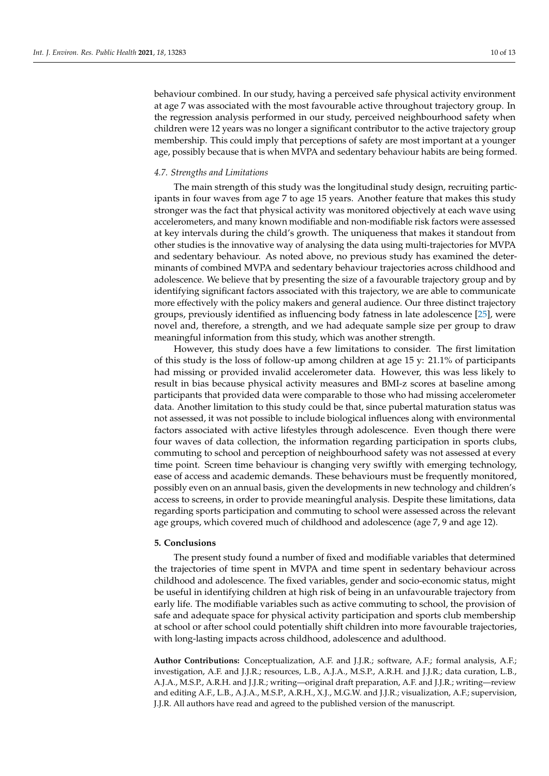behaviour combined. In our study, having a perceived safe physical activity environment at age 7 was associated with the most favourable active throughout trajectory group. In the regression analysis performed in our study, perceived neighbourhood safety when children were 12 years was no longer a significant contributor to the active trajectory group membership. This could imply that perceptions of safety are most important at a younger age, possibly because that is when MVPA and sedentary behaviour habits are being formed.

## *4.7. Strengths and Limitations*

The main strength of this study was the longitudinal study design, recruiting participants in four waves from age 7 to age 15 years. Another feature that makes this study stronger was the fact that physical activity was monitored objectively at each wave using accelerometers, and many known modifiable and non-modifiable risk factors were assessed at key intervals during the child's growth. The uniqueness that makes it standout from other studies is the innovative way of analysing the data using multi-trajectories for MVPA and sedentary behaviour. As noted above, no previous study has examined the determinants of combined MVPA and sedentary behaviour trajectories across childhood and adolescence. We believe that by presenting the size of a favourable trajectory group and by identifying significant factors associated with this trajectory, we are able to communicate more effectively with the policy makers and general audience. Our three distinct trajectory groups, previously identified as influencing body fatness in late adolescence [\[25\]](#page-11-5), were novel and, therefore, a strength, and we had adequate sample size per group to draw meaningful information from this study, which was another strength.

However, this study does have a few limitations to consider. The first limitation of this study is the loss of follow-up among children at age 15 y: 21.1% of participants had missing or provided invalid accelerometer data. However, this was less likely to result in bias because physical activity measures and BMI-z scores at baseline among participants that provided data were comparable to those who had missing accelerometer data. Another limitation to this study could be that, since pubertal maturation status was not assessed, it was not possible to include biological influences along with environmental factors associated with active lifestyles through adolescence. Even though there were four waves of data collection, the information regarding participation in sports clubs, commuting to school and perception of neighbourhood safety was not assessed at every time point. Screen time behaviour is changing very swiftly with emerging technology, ease of access and academic demands. These behaviours must be frequently monitored, possibly even on an annual basis, given the developments in new technology and children's access to screens, in order to provide meaningful analysis. Despite these limitations, data regarding sports participation and commuting to school were assessed across the relevant age groups, which covered much of childhood and adolescence (age 7, 9 and age 12).

## **5. Conclusions**

The present study found a number of fixed and modifiable variables that determined the trajectories of time spent in MVPA and time spent in sedentary behaviour across childhood and adolescence. The fixed variables, gender and socio-economic status, might be useful in identifying children at high risk of being in an unfavourable trajectory from early life. The modifiable variables such as active commuting to school, the provision of safe and adequate space for physical activity participation and sports club membership at school or after school could potentially shift children into more favourable trajectories, with long-lasting impacts across childhood, adolescence and adulthood.

**Author Contributions:** Conceptualization, A.F. and J.J.R.; software, A.F.; formal analysis, A.F.; investigation, A.F. and J.J.R.; resources, L.B., A.J.A., M.S.P., A.R.H. and J.J.R.; data curation, L.B., A.J.A., M.S.P., A.R.H. and J.J.R.; writing—original draft preparation, A.F. and J.J.R.; writing—review and editing A.F., L.B., A.J.A., M.S.P., A.R.H., X.J., M.G.W. and J.J.R.; visualization, A.F.; supervision, J.J.R. All authors have read and agreed to the published version of the manuscript.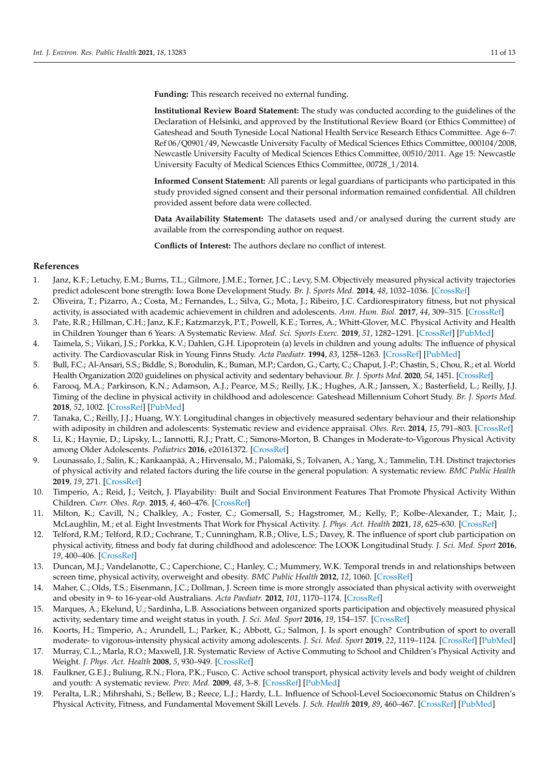**Funding:** This research received no external funding.

**Institutional Review Board Statement:** The study was conducted according to the guidelines of the Declaration of Helsinki, and approved by the Institutional Review Board (or Ethics Committee) of Gateshead and South Tyneside Local National Health Service Research Ethics Committee. Age 6–7: Ref 06/Q0901/49, Newcastle University Faculty of Medical Sciences Ethics Committee, 000104/2008, Newcastle University Faculty of Medical Sciences Ethics Committee, 00510/2011. Age 15: Newcastle University Faculty of Medical Sciences Ethics Committee, 00728\_1/2014.

**Informed Consent Statement:** All parents or legal guardians of participants who participated in this study provided signed consent and their personal information remained confidential. All children provided assent before data were collected.

**Data Availability Statement:** The datasets used and/or analysed during the current study are available from the corresponding author on request.

**Conflicts of Interest:** The authors declare no conflict of interest.

## **References**

- <span id="page-10-0"></span>1. Janz, K.F.; Letuchy, E.M.; Burns, T.L.; Gilmore, J.M.E.; Torner, J.C.; Levy, S.M. Objectively measured physical activity trajectories predict adolescent bone strength: Iowa Bone Development Study. *Br. J. Sports Med.* **2014**, *48*, 1032–1036. [\[CrossRef\]](http://doi.org/10.1136/bjsports-2014-093574)
- <span id="page-10-1"></span>2. Oliveira, T.; Pizarro, A.; Costa, M.; Fernandes, L.; Silva, G.; Mota, J.; Ribeiro, J.C. Cardiorespiratory fitness, but not physical activity, is associated with academic achievement in children and adolescents. *Ann. Hum. Biol.* **2017**, *44*, 309–315. [\[CrossRef\]](http://doi.org/10.1080/03014460.2017.1308010)
- <span id="page-10-2"></span>3. Pate, R.R.; Hillman, C.H.; Janz, K.F.; Katzmarzyk, P.T.; Powell, K.E.; Torres, A.; Whitt-Glover, M.C. Physical Activity and Health in Children Younger than 6 Years: A Systematic Review. *Med. Sci. Sports Exerc.* **2019**, *51*, 1282–1291. [\[CrossRef\]](http://doi.org/10.1249/MSS.0000000000001940) [\[PubMed\]](http://www.ncbi.nlm.nih.gov/pubmed/31095085)
- <span id="page-10-3"></span>4. Taimela, S.; Viikari, J.S.; Porkka, K.V.; Dahlen, G.H. Lipoprotein (a) levels in children and young adults: The influence of physical activity. The Cardiovascular Risk in Young Finns Study. *Acta Paediatr.* **1994**, *83*, 1258–1263. [\[CrossRef\]](http://doi.org/10.1111/j.1651-2227.1994.tb13009.x) [\[PubMed\]](http://www.ncbi.nlm.nih.gov/pubmed/7734865)
- <span id="page-10-4"></span>5. Bull, F.C.; Al-Ansari, S.S.; Biddle, S.; Borodulin, K.; Buman, M.P.; Cardon, G.; Carty, C.; Chaput, J.-P.; Chastin, S.; Chou, R.; et al. World Health Organization 2020 guidelines on physical activity and sedentary behaviour. *Br. J. Sports Med.* **2020**, *54*, 1451. [\[CrossRef\]](http://doi.org/10.1136/bjsports-2020-102955)
- <span id="page-10-5"></span>6. Farooq, M.A.; Parkinson, K.N.; Adamson, A.J.; Pearce, M.S.; Reilly, J.K.; Hughes, A.R.; Janssen, X.; Basterfield, L.; Reilly, J.J. Timing of the decline in physical activity in childhood and adolescence: Gateshead Millennium Cohort Study. *Br. J. Sports Med.* **2018**, *52*, 1002. [\[CrossRef\]](http://doi.org/10.1136/bjsports-2016-096933) [\[PubMed\]](http://www.ncbi.nlm.nih.gov/pubmed/28288966)
- <span id="page-10-6"></span>7. Tanaka, C.; Reilly, J.J.; Huang, W.Y. Longitudinal changes in objectively measured sedentary behaviour and their relationship with adiposity in children and adolescents: Systematic review and evidence appraisal. *Obes. Rev.* **2014**, *15*, 791–803. [\[CrossRef\]](http://doi.org/10.1111/obr.12195)
- <span id="page-10-7"></span>8. Li, K.; Haynie, D.; Lipsky, L.; Iannotti, R.J.; Pratt, C.; Simons-Morton, B. Changes in Moderate-to-Vigorous Physical Activity among Older Adolescents. *Pediatrics* **2016**, e20161372. [\[CrossRef\]](http://doi.org/10.1542/peds.2016-1372)
- <span id="page-10-8"></span>9. Lounassalo, I.; Salin, K.; Kankaanpää, A.; Hirvensalo, M.; Palomäki, S.; Tolvanen, A.; Yang, X.; Tammelin, T.H. Distinct trajectories of physical activity and related factors during the life course in the general population: A systematic review. *BMC Public Health* **2019**, *19*, 271. [\[CrossRef\]](http://doi.org/10.1186/s12889-019-6513-y)
- <span id="page-10-9"></span>10. Timperio, A.; Reid, J.; Veitch, J. Playability: Built and Social Environment Features That Promote Physical Activity Within Children. *Curr. Obes. Rep.* **2015**, *4*, 460–476. [\[CrossRef\]](http://doi.org/10.1007/s13679-015-0178-3)
- <span id="page-10-10"></span>11. Milton, K.; Cavill, N.; Chalkley, A.; Foster, C.; Gomersall, S.; Hagstromer, M.; Kelly, P.; Kolbe-Alexander, T.; Mair, J.; McLaughlin, M.; et al. Eight Investments That Work for Physical Activity. *J. Phys. Act. Health* **2021**, *18*, 625–630. [\[CrossRef\]](http://doi.org/10.1123/jpah.2021-0112)
- <span id="page-10-11"></span>12. Telford, R.M.; Telford, R.D.; Cochrane, T.; Cunningham, R.B.; Olive, L.S.; Davey, R. The influence of sport club participation on physical activity, fitness and body fat during childhood and adolescence: The LOOK Longitudinal Study. *J. Sci. Med. Sport* **2016**, *19*, 400–406. [\[CrossRef\]](http://doi.org/10.1016/j.jsams.2015.04.008)
- <span id="page-10-12"></span>13. Duncan, M.J.; Vandelanotte, C.; Caperchione, C.; Hanley, C.; Mummery, W.K. Temporal trends in and relationships between screen time, physical activity, overweight and obesity. *BMC Public Health* **2012**, *12*, 1060. [\[CrossRef\]](http://doi.org/10.1186/1471-2458-12-1060)
- 14. Maher, C.; Olds, T.S.; Eisenmann, J.C.; Dollman, J. Screen time is more strongly associated than physical activity with overweight and obesity in 9- to 16-year-old Australians. *Acta Paediatr.* **2012**, *101*, 1170–1174. [\[CrossRef\]](http://doi.org/10.1111/j.1651-2227.2012.02804.x)
- 15. Marques, A.; Ekelund, U.; Sardinha, L.B. Associations between organized sports participation and objectively measured physical activity, sedentary time and weight status in youth. *J. Sci. Med. Sport* **2016**, *19*, 154–157. [\[CrossRef\]](http://doi.org/10.1016/j.jsams.2015.02.007)
- 16. Koorts, H.; Timperio, A.; Arundell, L.; Parker, K.; Abbott, G.; Salmon, J. Is sport enough? Contribution of sport to overall moderate- to vigorous-intensity physical activity among adolescents. *J. Sci. Med. Sport* **2019**, *22*, 1119–1124. [\[CrossRef\]](http://doi.org/10.1016/j.jsams.2019.06.009) [\[PubMed\]](http://www.ncbi.nlm.nih.gov/pubmed/31277920)
- 17. Murray, C.L.; Marla, R.O.; Maxwell, J.R. Systematic Review of Active Commuting to School and Children's Physical Activity and Weight. *J. Phys. Act. Health* **2008**, *5*, 930–949. [\[CrossRef\]](http://doi.org/10.1123/jpah.5.6.930)
- <span id="page-10-13"></span>18. Faulkner, G.E.J.; Buliung, R.N.; Flora, P.K.; Fusco, C. Active school transport, physical activity levels and body weight of children and youth: A systematic review. *Prev. Med.* **2009**, *48*, 3–8. [\[CrossRef\]](http://doi.org/10.1016/j.ypmed.2008.10.017) [\[PubMed\]](http://www.ncbi.nlm.nih.gov/pubmed/19014963)
- <span id="page-10-14"></span>19. Peralta, L.R.; Mihrshahi, S.; Bellew, B.; Reece, L.J.; Hardy, L.L. Influence of School-Level Socioeconomic Status on Children's Physical Activity, Fitness, and Fundamental Movement Skill Levels. *J. Sch. Health* **2019**, *89*, 460–467. [\[CrossRef\]](http://doi.org/10.1111/josh.12761) [\[PubMed\]](http://www.ncbi.nlm.nih.gov/pubmed/30945311)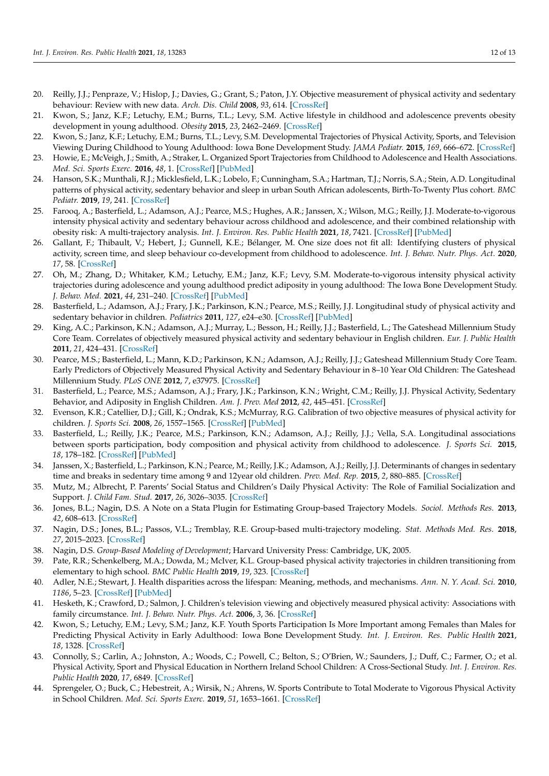- <span id="page-11-0"></span>20. Reilly, J.J.; Penpraze, V.; Hislop, J.; Davies, G.; Grant, S.; Paton, J.Y. Objective measurement of physical activity and sedentary behaviour: Review with new data. *Arch. Dis. Child* **2008**, *93*, 614. [\[CrossRef\]](http://doi.org/10.1136/adc.2007.133272)
- <span id="page-11-1"></span>21. Kwon, S.; Janz, K.F.; Letuchy, E.M.; Burns, T.L.; Levy, S.M. Active lifestyle in childhood and adolescence prevents obesity development in young adulthood. *Obesity* **2015**, *23*, 2462–2469. [\[CrossRef\]](http://doi.org/10.1002/oby.21262)
- 22. Kwon, S.; Janz, K.F.; Letuchy, E.M.; Burns, T.L.; Levy, S.M. Developmental Trajectories of Physical Activity, Sports, and Television Viewing During Childhood to Young Adulthood: Iowa Bone Development Study. *JAMA Pediatr.* **2015**, *169*, 666–672. [\[CrossRef\]](http://doi.org/10.1001/jamapediatrics.2015.0327)
- <span id="page-11-2"></span>23. Howie, E.; McVeigh, J.; Smith, A.; Straker, L. Organized Sport Trajectories from Childhood to Adolescence and Health Associations. *Med. Sci. Sports Exerc.* **2016**, *48*, 1. [\[CrossRef\]](http://doi.org/10.1249/MSS.0000000000000894) [\[PubMed\]](http://www.ncbi.nlm.nih.gov/pubmed/27314410)
- <span id="page-11-3"></span>24. Hanson, S.K.; Munthali, R.J.; Micklesfield, L.K.; Lobelo, F.; Cunningham, S.A.; Hartman, T.J.; Norris, S.A.; Stein, A.D. Longitudinal patterns of physical activity, sedentary behavior and sleep in urban South African adolescents, Birth-To-Twenty Plus cohort. *BMC Pediatr.* **2019**, *19*, 241. [\[CrossRef\]](http://doi.org/10.1186/s12887-019-1619-z)
- <span id="page-11-5"></span>25. Farooq, A.; Basterfield, L.; Adamson, A.J.; Pearce, M.S.; Hughes, A.R.; Janssen, X.; Wilson, M.G.; Reilly, J.J. Moderate-to-vigorous intensity physical activity and sedentary behaviour across childhood and adolescence, and their combined relationship with obesity risk: A multi-trajectory analysis. *Int. J. Environ. Res. Public Health* **2021**, *18*, 7421. [\[CrossRef\]](http://doi.org/10.3390/ijerph18147421) [\[PubMed\]](http://www.ncbi.nlm.nih.gov/pubmed/34299872)
- <span id="page-11-4"></span>26. Gallant, F.; Thibault, V.; Hebert, J.; Gunnell, K.E.; Bélanger, M. One size does not fit all: Identifying clusters of physical activity, screen time, and sleep behaviour co-development from childhood to adolescence. *Int. J. Behav. Nutr. Phys. Act.* **2020**, *17*, 58. [\[CrossRef\]](http://doi.org/10.1186/s12966-020-00964-1)
- <span id="page-11-6"></span>27. Oh, M.; Zhang, D.; Whitaker, K.M.; Letuchy, E.M.; Janz, K.F.; Levy, S.M. Moderate-to-vigorous intensity physical activity trajectories during adolescence and young adulthood predict adiposity in young adulthood: The Iowa Bone Development Study. *J. Behav. Med.* **2021**, *44*, 231–240. [\[CrossRef\]](http://doi.org/10.1007/s10865-020-00190-x) [\[PubMed\]](http://www.ncbi.nlm.nih.gov/pubmed/33068254)
- <span id="page-11-7"></span>28. Basterfield, L.; Adamson, A.J.; Frary, J.K.; Parkinson, K.N.; Pearce, M.S.; Reilly, J.J. Longitudinal study of physical activity and sedentary behavior in children. *Pediatrics* **2011**, *127*, e24–e30. [\[CrossRef\]](http://doi.org/10.1542/peds.2010-1935) [\[PubMed\]](http://www.ncbi.nlm.nih.gov/pubmed/21173005)
- <span id="page-11-9"></span>29. King, A.C.; Parkinson, K.N.; Adamson, A.J.; Murray, L.; Besson, H.; Reilly, J.J.; Basterfield, L.; The Gateshead Millennium Study Core Team. Correlates of objectively measured physical activity and sedentary behaviour in English children. *Eur. J. Public Health* **2011**, *21*, 424–431. [\[CrossRef\]](http://doi.org/10.1093/eurpub/ckq104)
- <span id="page-11-8"></span>30. Pearce, M.S.; Basterfield, L.; Mann, K.D.; Parkinson, K.N.; Adamson, A.J.; Reilly, J.J.; Gateshead Millennium Study Core Team. Early Predictors of Objectively Measured Physical Activity and Sedentary Behaviour in 8–10 Year Old Children: The Gateshead Millennium Study. *PLoS ONE* **2012**, *7*, e37975. [\[CrossRef\]](http://doi.org/10.1371/journal.pone.0037975)
- <span id="page-11-10"></span>31. Basterfield, L.; Pearce, M.S.; Adamson, A.J.; Frary, J.K.; Parkinson, K.N.; Wright, C.M.; Reilly, J.J. Physical Activity, Sedentary Behavior, and Adiposity in English Children. *Am. J. Prev. Med* **2012**, *42*, 445–451. [\[CrossRef\]](http://doi.org/10.1016/j.amepre.2012.01.007)
- <span id="page-11-11"></span>32. Evenson, K.R.; Catellier, D.J.; Gill, K.; Ondrak, K.S.; McMurray, R.G. Calibration of two objective measures of physical activity for children. *J. Sports Sci.* **2008**, *26*, 1557–1565. [\[CrossRef\]](http://doi.org/10.1080/02640410802334196) [\[PubMed\]](http://www.ncbi.nlm.nih.gov/pubmed/18949660)
- <span id="page-11-12"></span>33. Basterfield, L.; Reilly, J.K.; Pearce, M.S.; Parkinson, K.N.; Adamson, A.J.; Reilly, J.J.; Vella, S.A. Longitudinal associations between sports participation, body composition and physical activity from childhood to adolescence. *J. Sports Sci.* **2015**, *18*, 178–182. [\[CrossRef\]](http://doi.org/10.1016/j.jsams.2014.03.005) [\[PubMed\]](http://www.ncbi.nlm.nih.gov/pubmed/24704422)
- <span id="page-11-13"></span>34. Janssen, X.; Basterfield, L.; Parkinson, K.N.; Pearce, M.; Reilly, J.K.; Adamson, A.J.; Reilly, J.J. Determinants of changes in sedentary time and breaks in sedentary time among 9 and 12year old children. *Prev. Med. Rep.* **2015**, *2*, 880–885. [\[CrossRef\]](http://doi.org/10.1016/j.pmedr.2015.10.007)
- <span id="page-11-14"></span>35. Mutz, M.; Albrecht, P. Parents' Social Status and Children's Daily Physical Activity: The Role of Familial Socialization and Support. *J. Child Fam. Stud.* **2017**, *26*, 3026–3035. [\[CrossRef\]](http://doi.org/10.1007/s10826-017-0808-3)
- <span id="page-11-15"></span>36. Jones, B.L.; Nagin, D.S. A Note on a Stata Plugin for Estimating Group-based Trajectory Models. *Sociol. Methods Res.* **2013**, *42*, 608–613. [\[CrossRef\]](http://doi.org/10.1177/0049124113503141)
- <span id="page-11-16"></span>37. Nagin, D.S.; Jones, B.L.; Passos, V.L.; Tremblay, R.E. Group-based multi-trajectory modeling. *Stat. Methods Med. Res.* **2018**, *27*, 2015–2023. [\[CrossRef\]](http://doi.org/10.1177/0962280216673085)
- <span id="page-11-17"></span>38. Nagin, D.S. *Group-Based Modeling of Development*; Harvard University Press: Cambridge, UK, 2005.
- <span id="page-11-18"></span>39. Pate, R.R.; Schenkelberg, M.A.; Dowda, M.; McIver, K.L. Group-based physical activity trajectories in children transitioning from elementary to high school. *BMC Public Health* **2019**, *19*, 323. [\[CrossRef\]](http://doi.org/10.1186/s12889-019-6630-7)
- <span id="page-11-19"></span>40. Adler, N.E.; Stewart, J. Health disparities across the lifespan: Meaning, methods, and mechanisms. *Ann. N. Y. Acad. Sci.* **2010**, *1186*, 5–23. [\[CrossRef\]](http://doi.org/10.1111/j.1749-6632.2009.05337.x) [\[PubMed\]](http://www.ncbi.nlm.nih.gov/pubmed/20201865)
- <span id="page-11-20"></span>41. Hesketh, K.; Crawford, D.; Salmon, J. Children's television viewing and objectively measured physical activity: Associations with family circumstance. *Int. J. Behav. Nutr. Phys. Act.* **2006**, *3*, 36. [\[CrossRef\]](http://doi.org/10.1186/1479-5868-3-36)
- <span id="page-11-21"></span>42. Kwon, S.; Letuchy, E.M.; Levy, S.M.; Janz, K.F. Youth Sports Participation Is More Important among Females than Males for Predicting Physical Activity in Early Adulthood: Iowa Bone Development Study. *Int. J. Environ. Res. Public Health* **2021**, *18*, 1328. [\[CrossRef\]](http://doi.org/10.3390/ijerph18031328)
- <span id="page-11-22"></span>43. Connolly, S.; Carlin, A.; Johnston, A.; Woods, C.; Powell, C.; Belton, S.; O'Brien, W.; Saunders, J.; Duff, C.; Farmer, O.; et al. Physical Activity, Sport and Physical Education in Northern Ireland School Children: A Cross-Sectional Study. *Int. J. Environ. Res. Public Health* **2020**, *17*, 6849. [\[CrossRef\]](http://doi.org/10.3390/ijerph17186849)
- <span id="page-11-23"></span>44. Sprengeler, O.; Buck, C.; Hebestreit, A.; Wirsik, N.; Ahrens, W. Sports Contribute to Total Moderate to Vigorous Physical Activity in School Children. *Med. Sci. Sports Exerc.* **2019**, *51*, 1653–1661. [\[CrossRef\]](http://doi.org/10.1249/MSS.0000000000001948)